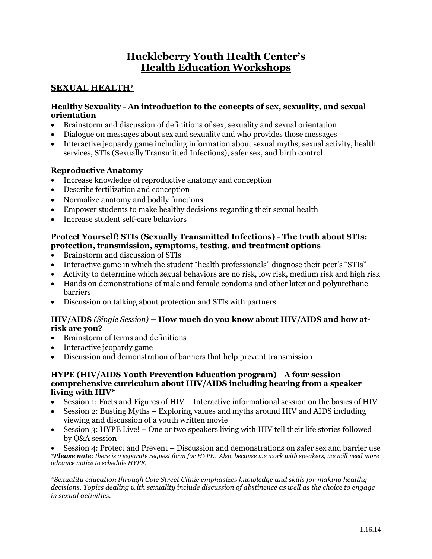# **Huckleberry Youth Health Center's Health Education Workshops**

# **SEXUAL HEALTH\***

#### **Healthy Sexuality - An introduction to the concepts of sex, sexuality, and sexual orientation**

- Brainstorm and discussion of definitions of sex, sexuality and sexual orientation
- Dialogue on messages about sex and sexuality and who provides those messages
- Interactive jeopardy game including information about sexual myths, sexual activity, health services, STIs (Sexually Transmitted Infections), safer sex, and birth control

# **Reproductive Anatomy**

- Increase knowledge of reproductive anatomy and conception
- Describe fertilization and conception
- Normalize anatomy and bodily functions
- Empower students to make healthy decisions regarding their sexual health
- Increase student self-care behaviors

# **Protect Yourself! STIs (Sexually Transmitted Infections) - The truth about STIs: protection, transmission, symptoms, testing, and treatment options**

- Brainstorm and discussion of STIs
- Interactive game in which the student "health professionals" diagnose their peer's "STIs"
- Activity to determine which sexual behaviors are no risk, low risk, medium risk and high risk
- Hands on demonstrations of male and female condoms and other latex and polyurethane barriers
- Discussion on talking about protection and STIs with partners

#### **HIV/AIDS** *(Single Session)* **– How much do you know about HIV/AIDS and how atrisk are you?**

- Brainstorm of terms and definitions
- Interactive jeopardy game
- Discussion and demonstration of barriers that help prevent transmission

#### **HYPE (HIV/AIDS Youth Prevention Education program)– A four session comprehensive curriculum about HIV/AIDS including hearing from a speaker living with HIV\***

- Session 1: Facts and Figures of HIV Interactive informational session on the basics of HIV
- Session 2: Busting Myths Exploring values and myths around HIV and AIDS including viewing and discussion of a youth written movie
- Session 3: HYPE Live! One or two speakers living with HIV tell their life stories followed by Q&A session

 Session 4: Protect and Prevent – Discussion and demonstrations on safer sex and barrier use *\*Please note: there is a separate request form for HYPE. Also, because we work with speakers, we will need more advance notice to schedule HYPE.*

*\*Sexuality education through Cole Street Clinic emphasizes knowledge and skills for making healthy decisions. Topics dealing with sexuality include discussion of abstinence as well as the choice to engage in sexual activities.*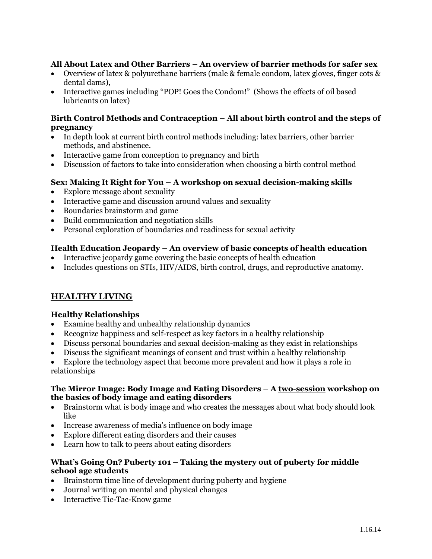# **All About Latex and Other Barriers – An overview of barrier methods for safer sex**

- Overview of latex & polyurethane barriers (male & female condom, latex gloves, finger cots & dental dams),
- Interactive games including "POP! Goes the Condom!" (Shows the effects of oil based lubricants on latex)

#### **Birth Control Methods and Contraception – All about birth control and the steps of pregnancy**

- In depth look at current birth control methods including: latex barriers, other barrier methods, and abstinence.
- Interactive game from conception to pregnancy and birth
- Discussion of factors to take into consideration when choosing a birth control method

### **Sex: Making It Right for You – A workshop on sexual decision-making skills**

- Explore message about sexuality
- Interactive game and discussion around values and sexuality
- Boundaries brainstorm and game
- Build communication and negotiation skills
- Personal exploration of boundaries and readiness for sexual activity

### **Health Education Jeopardy – An overview of basic concepts of health education**

- Interactive jeopardy game covering the basic concepts of health education
- Includes questions on STIs, HIV/AIDS, birth control, drugs, and reproductive anatomy.

# **HEALTHY LIVING**

#### **Healthy Relationships**

- Examine healthy and unhealthy relationship dynamics
- Recognize happiness and self-respect as key factors in a healthy relationship
- Discuss personal boundaries and sexual decision-making as they exist in relationships
- Discuss the significant meanings of consent and trust within a healthy relationship

 Explore the technology aspect that become more prevalent and how it plays a role in relationships

#### **The Mirror Image: Body Image and Eating Disorders – A two-session workshop on the basics of body image and eating disorders**

- Brainstorm what is body image and who creates the messages about what body should look like
- Increase awareness of media's influence on body image
- Explore different eating disorders and their causes
- Learn how to talk to peers about eating disorders

### **What's Going On? Puberty 101 – Taking the mystery out of puberty for middle school age students**

- Brainstorm time line of development during puberty and hygiene
- Journal writing on mental and physical changes
- Interactive Tic-Tac-Know game